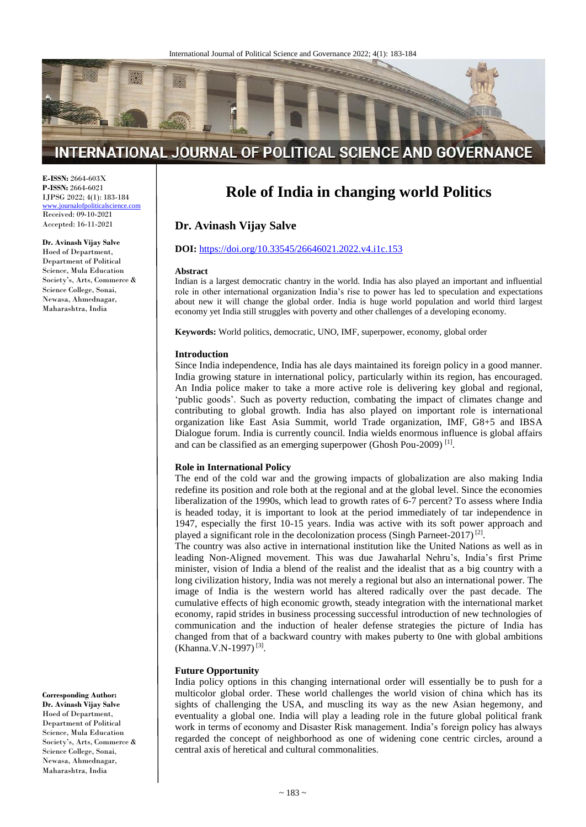

# INTERNATIONAL JOURNAL OF POLITICAL SCIENCE AND GOVERNANCE

**E-ISSN:** 2664-603X **P-ISSN:** 2664-6021 IJPSG 2022; 4(1): 183-184 [www.journalofpoliticalscience.com](http://www.journalofpoliticalscience.com/)

Received: 09-10-2021 Accepted: 16-11-2021

# **Dr. Avinash Vijay Salve**

Hoed of Department, Department of Political Science, Mula Education Society's, Arts, Commerce & Science College, Sonai, Newasa, Ahmednagar, Maharashtra, India

**Corresponding Author:**

**Dr. Avinash Vijay Salve** Hoed of Department, Department of Political Science, Mula Education Society's, Arts, Commerce & Science College, Sonai, Newasa, Ahmednagar, Maharashtra, India

# **Role of India in changing world Politics**

# **Dr. Avinash Vijay Salve**

#### **DOI:** <https://doi.org/10.33545/26646021.2022.v4.i1c.153>

#### **Abstract**

Indian is a largest democratic chantry in the world. India has also played an important and influential role in other international organization India's rise to power has led to speculation and expectations about new it will change the global order. India is huge world population and world third largest economy yet India still struggles with poverty and other challenges of a developing economy.

**Keywords:** World politics, democratic, UNO, IMF, superpower, economy, global order

#### **Introduction**

Since India independence, India has ale days maintained its foreign policy in a good manner. India growing stature in international policy, particularly within its region, has encouraged. An India police maker to take a more active role is delivering key global and regional, 'public goods'. Such as poverty reduction, combating the impact of climates change and contributing to global growth. India has also played on important role is international organization like East Asia Summit, world Trade organization, IMF, G8+5 and IBSA Dialogue forum. India is currently council. India wields enormous influence is global affairs and can be classified as an emerging superpower (Ghosh Pou-2009)<sup>[1]</sup>.

#### **Role in International Policy**

The end of the cold war and the growing impacts of globalization are also making India redefine its position and role both at the regional and at the global level. Since the economies liberalization of the 1990s, which lead to growth rates of 6-7 percent? To assess where India is headed today, it is important to look at the period immediately of tar independence in 1947, especially the first 10-15 years. India was active with its soft power approach and played a significant role in the decolonization process (Singh Parneet-2017)<sup>[2]</sup>.

The country was also active in international institution like the United Nations as well as in leading Non-Aligned movement. This was due Jawaharlal Nehru's, India's first Prime minister, vision of India a blend of the realist and the idealist that as a big country with a long civilization history, India was not merely a regional but also an international power. The image of India is the western world has altered radically over the past decade. The cumulative effects of high economic growth, steady integration with the international market economy, rapid strides in business processing successful introduction of new technologies of communication and the induction of healer defense strategies the picture of India has changed from that of a backward country with makes puberty to 0ne with global ambitions (Khanna.V.N-1997)<sup>[3]</sup>.

## **Future Opportunity**

India policy options in this changing international order will essentially be to push for a multicolor global order. These world challenges the world vision of china which has its sights of challenging the USA, and muscling its way as the new Asian hegemony, and eventuality a global one. India will play a leading role in the future global political frank work in terms of economy and Disaster Risk management. India's foreign policy has always regarded the concept of neighborhood as one of widening cone centric circles, around a central axis of heretical and cultural commonalities.